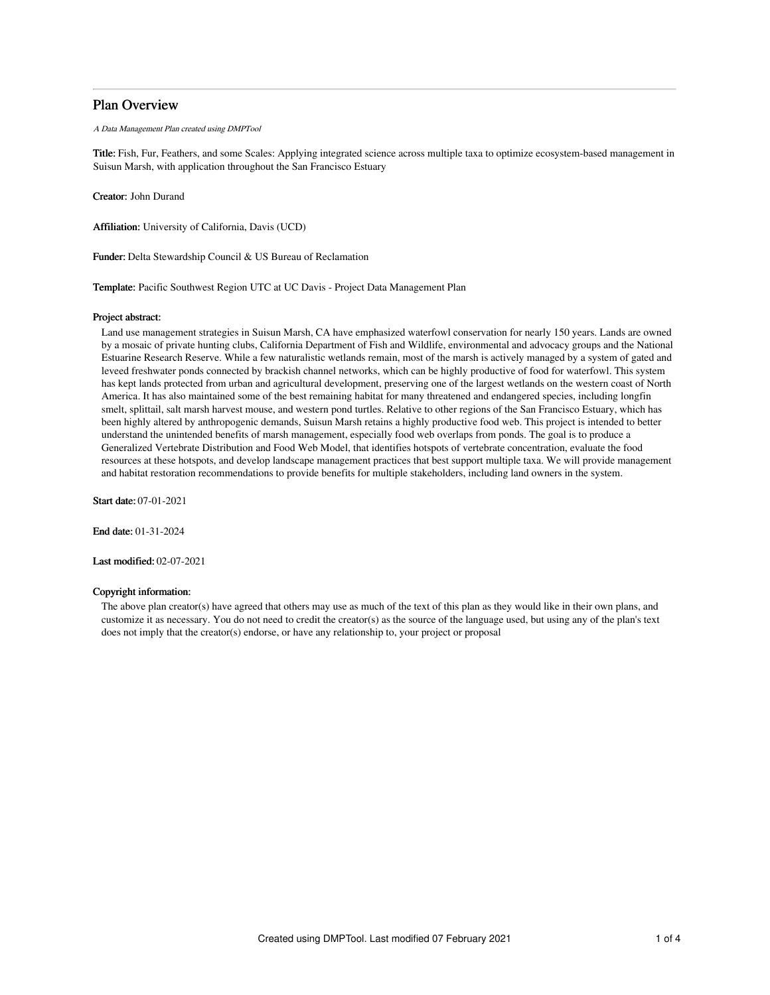## Plan Overview

A Data Management Plan created using DMPTool

Title: Fish, Fur, Feathers, and some Scales: Applying integrated science across multiple taxa to optimize ecosystem-based management in Suisun Marsh, with application throughout the San Francisco Estuary

Creator: John Durand

Affiliation: University of California, Davis (UCD)

Funder: Delta Stewardship Council & US Bureau of Reclamation

Template: Pacific Southwest Region UTC at UC Davis - Project Data Management Plan

#### Project abstract:

Land use management strategies in Suisun Marsh, CA have emphasized waterfowl conservation for nearly 150 years. Lands are owned by a mosaic of private hunting clubs, California Department of Fish and Wildlife, environmental and advocacy groups and the National Estuarine Research Reserve. While a few naturalistic wetlands remain, most of the marsh is actively managed by a system of gated and leveed freshwater ponds connected by brackish channel networks, which can be highly productive of food for waterfowl. This system has kept lands protected from urban and agricultural development, preserving one of the largest wetlands on the western coast of North America. It has also maintained some of the best remaining habitat for many threatened and endangered species, including longfin smelt, splittail, salt marsh harvest mouse, and western pond turtles. Relative to other regions of the San Francisco Estuary, which has been highly altered by anthropogenic demands, Suisun Marsh retains a highly productive food web. This project is intended to better understand the unintended benefits of marsh management, especially food web overlaps from ponds. The goal is to produce a Generalized Vertebrate Distribution and Food Web Model, that identifies hotspots of vertebrate concentration, evaluate the food resources at these hotspots, and develop landscape management practices that best support multiple taxa. We will provide management and habitat restoration recommendations to provide benefits for multiple stakeholders, including land owners in the system.

Start date: 07-01-2021

End date: 01-31-2024

Last modified: 02-07-2021

## Copyright information:

The above plan creator(s) have agreed that others may use as much of the text of this plan as they would like in their own plans, and customize it as necessary. You do not need to credit the creator(s) as the source of the language used, but using any of the plan's text does not imply that the creator(s) endorse, or have any relationship to, your project or proposal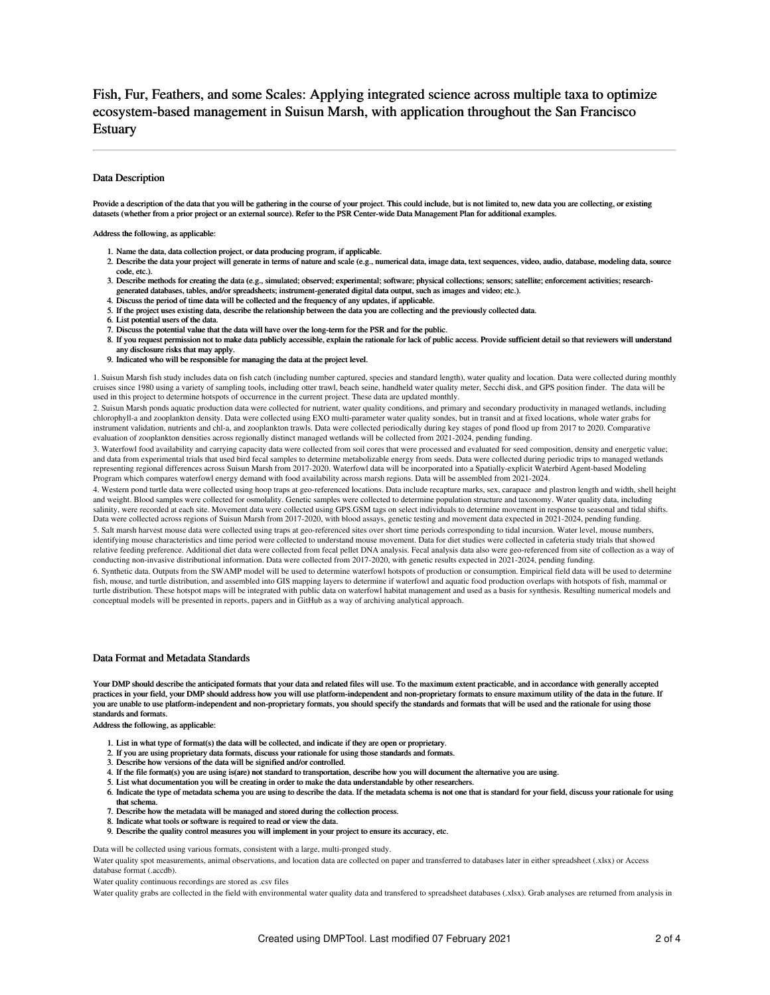# Fish, Fur, Feathers, and some Scales: Applying integrated science across multiple taxa to optimize ecosystem-based management in Suisun Marsh, with application throughout the San Francisco Estuary

## Data Description

Provide a description of the data that you will be gathering in the course of your project. This could include, but is not limited to, new data you are collecting, or existing datasets (whether from a prior project or an external source). Refer to the PSR Center-wide Data Management Plan for additional examples.

Address the following, as applicable:

- 1. Name the data, data collection project, or data producing program, if applicable.
- 2. Describe the data your project will generate in terms of nature and scale (e.g., numerical data, image data, text sequences, video, audio, database, modeling data, source code, etc.).
- 3. Describe methods for creating the data (e.g., simulated; observed; experimental; software; physical collections; sensors; satellite; enforcement activities; researchgenerated databases, tables, and/or spreadsheets; instrument-generated digital data output, such as images and video; etc.).
- 4. Discuss the period of time data will be collected and the frequency of any updates, if applicable.
- 5. If the project uses existing data, describe the relationship between the data you are collecting and the previously collected data.
- 6. List potential users of the data.
- 7. Discuss the potential value that the data will have over the long-term for the PSR and for the public.
- 8. If you request permission not to make data publicly accessible, explain the rationale for lack of public access. Provide sufficient detail so that reviewers will understand any disclosure risks that may apply.
- 9. Indicated who will be responsible for managing the data at the project level.

1. Suisun Marsh fish study includes data on fish catch (including number captured, species and standard length), water quality and location. Data were collected during monthly cruises since 1980 using a variety of sampling tools, including otter trawl, beach seine, handheld water quality meter, Secchi disk, and GPS position finder. The data will be used in this project to determine hotspots of occurrence in the current project. These data are updated monthly.

2. Suisun Marsh ponds aquatic production data were collected for nutrient, water quality conditions, and primary and secondary productivity in managed wetlands, including chlorophyll-a and zooplankton density. Data were collected using EXO multi-parameter water quality sondes, but in transit and at fixed locations, whole water grabs for instrument validation, nutrients and chl-a, and zooplankton trawls. Data were collected periodically during key stages of pond flood up from 2017 to 2020. Comparative evaluation of zooplankton densities across regionally distinct managed wetlands will be collected from 2021-2024, pending funding.

3. Waterfowl food availability and carrying capacity data were collected from soil cores that were processed and evaluated for seed composition, density and energetic value; and data from experimental trials that used bird fecal samples to determine metabolizable energy from seeds. Data were collected during periodic trips to managed wetlands<br>representing regional differences across Suisun Mar Program which compares waterfowl energy demand with food availability across marsh regions. Data will be assembled from 2021-2024.

4. Western pond turtle data were collected using hoop traps at geo-referenced locations. Data include recapture marks, sex, carapace and plastron length and width, shell height and weight. Blood samples were collected for osmolality. Genetic samples were collected to determine population structure and taxonomy. Water quality data, including salinity, were recorded at each site. Movement data were collected using GPS.GSM tags on select individuals to determine movement in response to seasonal and tidal shifts. Data were collected across regions of Suisun Marsh from 2017-2020, with blood assays, genetic testing and movement data expected in 2021-2024, pending funding. 5. Salt marsh harvest mouse data were collected using traps at geo-referenced sites over short time periods corresponding to tidal incursion. Water level, mouse numbers, identifying mouse characteristics and time period were collected to understand mouse movement. Data for diet studies were collected in cafeteria study trials that showed relative feeding preference. Additional diet data were collected from fecal pellet DNA analysis. Fecal analysis data also were geo-referenced from site of collection as a way of conducting non-invasive distributional information. Data were collected from 2017-2020, with genetic results expected in 2021-2024, pending funding.

6. Synthetic data. Outputs from the SWAMP model will be used to determine waterfowl hotspots of production or consumption. Empirical field data will be used to determine fish, mouse, and turtle distribution, and assembled into GIS mapping layers to determine if waterfowl and aquatic food production overlaps with hotspots of fish, mammal or turtle distribution. These hotspot maps will be integrated with public data on waterfowl habitat management and used as a basis for synthesis. Resulting numerical models and conceptual models will be presented in reports, papers and in GitHub as a way of archiving analytical approach.

## Data Format and Metadata Standards

Your DMP should describe the anticipated formats that your data and related files will use. To the maximum extent practicable, and in accordance with generally accepted practices in your field, your DMP should address how you will use platform-independent and non-proprietary formats to ensure maximum utility of the data in the future. If you are unable to use platform-independent and non-proprietary formats, you should specify the standards and formats that will be used and the rationale for using those standards and formats.

Address the following, as applicable:

- 1. List in what type of format(s) the data will be collected, and indicate if they are open or proprietary.
- 2. If you are using proprietary data formats, discuss your rationale for using those standards and formats.
- 3. Describe how versions of the data will be signified and/or controlled.
- 4. If the file format(s) you are using is(are) not standard to transportation, describe how you will document the alternative you are using.
- 5. List what documentation you will be creating in order to make the data understandable by other researchers.
- 6. Indicate the type of metadata schema you are using to describe the data. If the metadata schema is not one that is standard for your field, discuss your rationale for using that schema.
- 7. Describe how the metadata will be managed and stored during the collection process.
- 8. Indicate what tools or software is required to read or view the data.
- 9. Describe the quality control measures you will implement in your project to ensure its accuracy, etc.

Data will be collected using various formats, consistent with a large, multi-pronged study.

Water quality spot measurements, animal observations, and location data are collected on paper and transferred to databases later in either spreadsheet (.xlsx) or Access database format (.accdb).

Water quality continuous recordings are stored as .csv files

Water quality grabs are collected in the field with environmental water quality data and transfered to spreadsheet databases (.xlsx). Grab analyses are returned from analysis in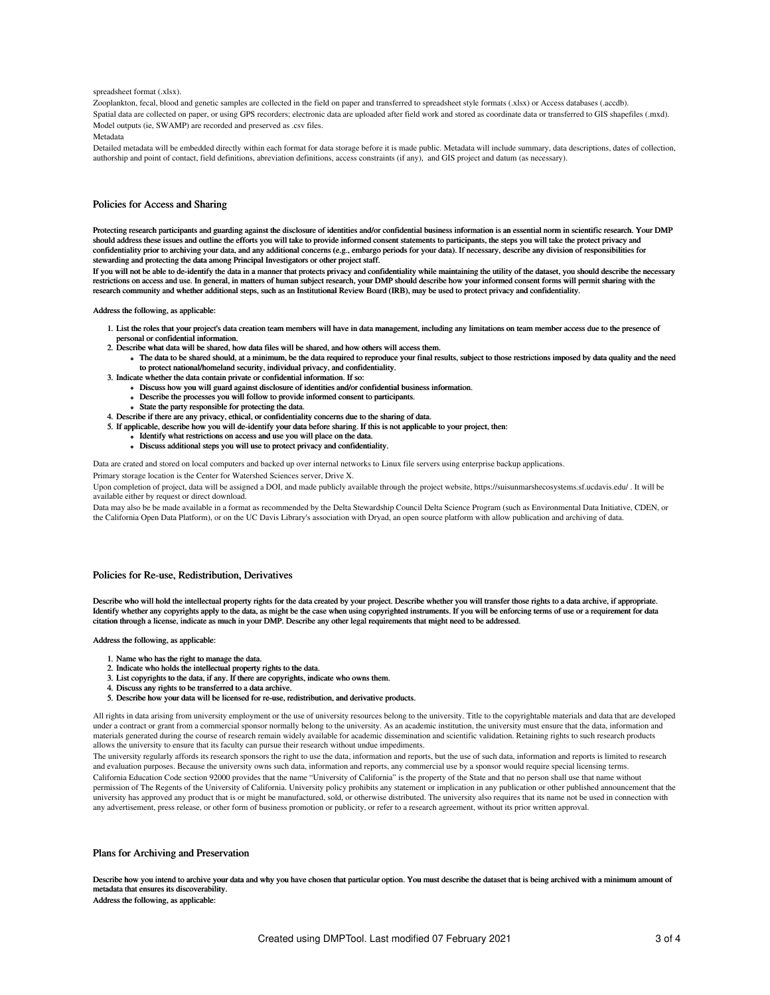#### spreadsheet format (.xlsx).

Zooplankton, fecal, blood and genetic samples are collected in the field on paper and transferred to spreadsheet style formats (.xlsx) or Access databases (.accdb). Spatial data are collected on paper, or using GPS recorders; electronic data are uploaded after field work and stored as coordinate data or transferred to GIS shapefiles (.mxd). Model outputs (ie, SWAMP) are recorded and preserved as .csv files.

Metadata

Detailed metadata will be embedded directly within each format for data storage before it is made public. Metadata will include summary, data descriptions, dates of collection, authorship and point of contact, field definitions, abreviation definitions, access constraints (if any), and GIS project and datum (as necessary).

## Policies for Access and Sharing

Protecting research participants and guarding against the disclosure of identities and/or confidential business information is an essential norm in scientific research. Your DMP should address these issues and outline the efforts you will take to provide informed consent statements to participants, the steps you will take the protect privacy and confidentiality prior to archiving your data, and any additional concerns (e.g., embargo periods for your data). If necessary, describe any division of responsibilities for stewarding and protecting the data among Principal Investigators or other project staff.

If you will not be able to de-identify the data in a manner that protects privacy and confidentiality while maintaining the utility of the dataset, you should describe the necessary restrictions on access and use. In general, in matters of human subject research, your DMP should describe how your informed consent forms will permit sharing with the research community and whether additional steps, such as an Institutional Review Board (IRB), may be used to protect privacy and confidentiality.

Address the following, as applicable:

- 1. List the roles that your project's data creation team members will have in data management, including any limitations on team member access due to the presence of
	- personal or confidential information.
- 2. Describe what data will be shared, how data files will be shared, and how others will access them.
	- The data to be shared should, at a minimum, be the data required to reproduce your final results, subject to those restrictions imposed by data quality and the need to protect national/homeland security, individual privacy, and confidentiality.
- 3. Indicate whether the data contain private or confidential information. If so:
	- Discuss how you will guard against disclosure of identities and/or confidential business information.
		- Describe the processes you will follow to provide informed consent to participants.
		- State the party responsible for protecting the data.
- 4. Describe if there are any privacy, ethical, or confidentiality concerns due to the sharing of data.
- 5. If applicable, describe how you will de-identify your data before sharing. If this is not applicable to your project, then:
	- Identify what restrictions on access and use you will place on the data.
	- Discuss additional steps you will use to protect privacy and confidentiality.

Data are crated and stored on local computers and backed up over internal networks to Linux file servers using enterprise backup applications.

Primary storage location is the Center for Watershed Sciences server, Drive X.

Upon completion of project, data will be assigned a DOI, and made publicly available through the project website, https://suisunmarshecosystems.sf.ucdavis.edu/ . It will be available either by request or direct download.

Data may also be be made available in a format as recommended by the Delta Stewardship Council Delta Science Program (such as Environmental Data Initiative, CDEN, or the California Open Data Platform), or on the UC Davis Library's association with Dryad, an open source platform with allow publication and archiving of data.

#### Policies for Re-use, Redistribution, Derivatives

Describe who will hold the intellectual property rights for the data created by your project. Describe whether you will transfer those rights to a data archive, if appropriate. Identify whether any copyrights apply to the data, as might be the case when using copyrighted instruments. If you will be enforcing terms of use or a requirement for data citation through a license, indicate as much in your DMP. Describe any other legal requirements that might need to be addressed.

## Address the following, as applicable:

- 1. Name who has the right to manage the data.
- 2. Indicate who holds the intellectual property rights to the data.
- 3. List copyrights to the data, if any. If there are copyrights, indicate who owns them.
- 4. Discuss any rights to be transferred to a data archive.
- 5. Describe how your data will be licensed for re-use, redistribution, and derivative products.

All rights in data arising from university employment or the use of university resources belong to the university. Title to the copyrightable materials and data that are developed under a contract or grant from a commercial sponsor normally belong to the university. As an academic institution, the university must ensure that the data, information and materials generated during the course of research remain widely available for academic dissemination and scientific validation. Retaining rights to such research products allows the university to ensure that its faculty can pursue their research without undue impediments.

The university regularly affords its research sponsors the right to use the data, information and reports, but the use of such data, information and reports is limited to research and evaluation purposes. Because the university owns such data, information and reports, any commercial use by a sponsor would require special licensing terms. California Education Code section 92000 provides that the name "University of California" is the property of the State and that no person shall use that name without permission of The Regents of the University of California. University policy prohibits any statement or implication in any publication or other published announcement that the university has approved any product that is or might be manufactured, sold, or otherwise distributed. The university also requires that its name not be used in connection with any advertisement, press release, or other form of business promotion or publicity, or refer to a research agreement, without its prior written approval.

#### Plans for Archiving and Preservation

Describe how you intend to archive your data and why you have chosen that particular option. You must describe the dataset that is being archived with a minimum amount of metadata that ensures its discoverability.

Address the following, as applicable: